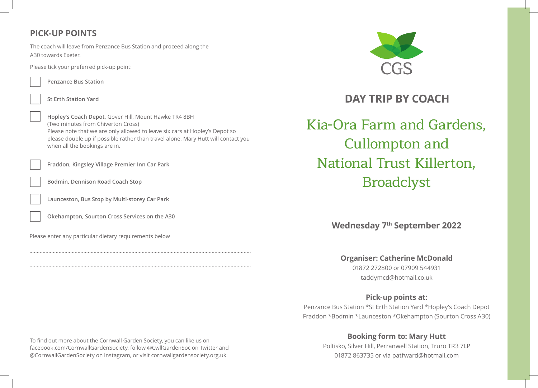# **PICK-UP POINTS**

The coach will leave from Penzance Bus Station and proceed along the A30 towards Exeter.

Please tick your preferred pick-up point:

**Penzance Bus Station**

**St Erth Station Yard**

**Hopley's Coach Depot,** Gover Hill, Mount Hawke TR4 8BH (Two minutes from Chiverton Cross) Please note that we are only allowed to leave six cars at Hopley's Depot so please double up if possible rather than travel alone. Mary Hutt will contact you when all the bookings are in.

**Fraddon, Kingsley Village Premier Inn Car Park**

**Bodmin, Dennison Road Coach Stop** 

**Launceston, Bus Stop by Multi-storey Car Park**

**Okehampton, Sourton Cross Services on the A30**

Please enter any particular dietary requirements below



**DAY TRIP BY COACH**

Kia-Ora Farm and Gardens, Cullompton and National Trust Killerton, Broadclyst

**Wednesday 7th September 2022**

**Organiser: Catherine McDonald**

01872 272800 or 07909 544931 taddymcd@hotmail.co.uk

## **Pick-up points at:**

Penzance Bus Station \*St Erth Station Yard \*Hopley's Coach Depot Fraddon \*Bodmin \*Launceston \*Okehampton (Sourton Cross A30)

## **Booking form to: Mary Hutt**

Poltisko, Silver Hill, Perranwell Station, Truro TR3 7LP 01872 863735 or via patfward@hotmail.com

To find out more about the Cornwall Garden Society, you can like us on facebook.com/CornwallGardenSociety, follow @CwllGardenSoc on Twitter and @CornwallGardenSociety on Instagram, or visit cornwallgardensociety.org.uk

........................................................................................................................................................

........................................................................................................................................................